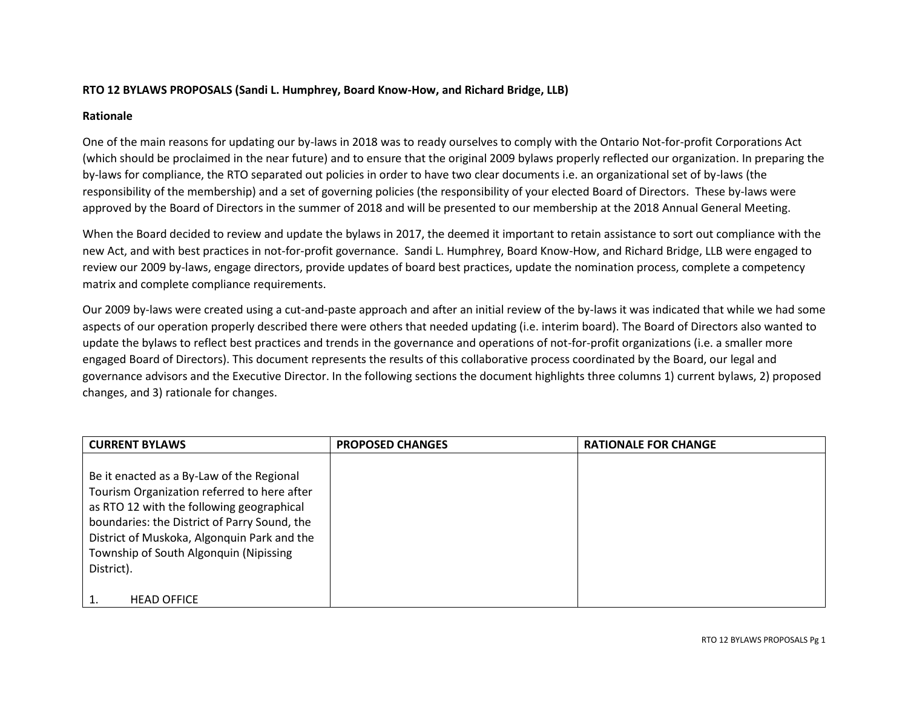### **RTO 12 BYLAWS PROPOSALS (Sandi L. Humphrey, Board Know-How, and Richard Bridge, LLB)**

#### **Rationale**

One of the main reasons for updating our by-laws in 2018 was to ready ourselves to comply with the Ontario Not-for-profit Corporations Act (which should be proclaimed in the near future) and to ensure that the original 2009 bylaws properly reflected our organization. In preparing the by-laws for compliance, the RTO separated out policies in order to have two clear documents i.e. an organizational set of by-laws (the responsibility of the membership) and a set of governing policies (the responsibility of your elected Board of Directors. These by-laws were approved by the Board of Directors in the summer of 2018 and will be presented to our membership at the 2018 Annual General Meeting.

When the Board decided to review and update the bylaws in 2017, the deemed it important to retain assistance to sort out compliance with the new Act, and with best practices in not-for-profit governance. Sandi L. Humphrey, Board Know-How, and Richard Bridge, LLB were engaged to review our 2009 by-laws, engage directors, provide updates of board best practices, update the nomination process, complete a competency matrix and complete compliance requirements.

Our 2009 by-laws were created using a cut-and-paste approach and after an initial review of the by-laws it was indicated that while we had some aspects of our operation properly described there were others that needed updating (i.e. interim board). The Board of Directors also wanted to update the bylaws to reflect best practices and trends in the governance and operations of not-for-profit organizations (i.e. a smaller more engaged Board of Directors). This document represents the results of this collaborative process coordinated by the Board, our legal and governance advisors and the Executive Director. In the following sections the document highlights three columns 1) current bylaws, 2) proposed changes, and 3) rationale for changes.

| <b>CURRENT BYLAWS</b>                                                                                                                                                                                                                                                                        | <b>PROPOSED CHANGES</b> | <b>RATIONALE FOR CHANGE</b> |
|----------------------------------------------------------------------------------------------------------------------------------------------------------------------------------------------------------------------------------------------------------------------------------------------|-------------------------|-----------------------------|
| Be it enacted as a By-Law of the Regional<br>Tourism Organization referred to here after<br>as RTO 12 with the following geographical<br>boundaries: the District of Parry Sound, the<br>District of Muskoka, Algonquin Park and the<br>Township of South Algonquin (Nipissing<br>District). |                         |                             |
| <b>HEAD OFFICE</b>                                                                                                                                                                                                                                                                           |                         |                             |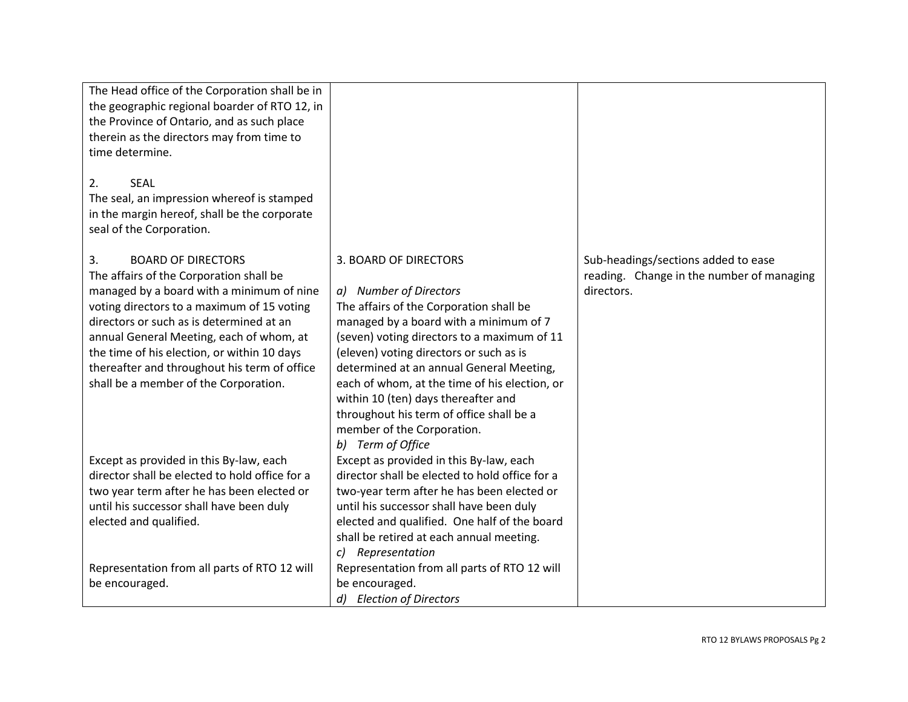| The Head office of the Corporation shall be in |                                                |                                           |
|------------------------------------------------|------------------------------------------------|-------------------------------------------|
| the geographic regional boarder of RTO 12, in  |                                                |                                           |
| the Province of Ontario, and as such place     |                                                |                                           |
| therein as the directors may from time to      |                                                |                                           |
| time determine.                                |                                                |                                           |
|                                                |                                                |                                           |
| <b>SEAL</b><br>2.                              |                                                |                                           |
| The seal, an impression whereof is stamped     |                                                |                                           |
| in the margin hereof, shall be the corporate   |                                                |                                           |
| seal of the Corporation.                       |                                                |                                           |
|                                                |                                                |                                           |
| 3.<br><b>BOARD OF DIRECTORS</b>                | 3. BOARD OF DIRECTORS                          | Sub-headings/sections added to ease       |
| The affairs of the Corporation shall be        |                                                | reading. Change in the number of managing |
| managed by a board with a minimum of nine      | a) Number of Directors                         | directors.                                |
| voting directors to a maximum of 15 voting     | The affairs of the Corporation shall be        |                                           |
| directors or such as is determined at an       | managed by a board with a minimum of 7         |                                           |
| annual General Meeting, each of whom, at       | (seven) voting directors to a maximum of 11    |                                           |
| the time of his election, or within 10 days    | (eleven) voting directors or such as is        |                                           |
| thereafter and throughout his term of office   | determined at an annual General Meeting,       |                                           |
| shall be a member of the Corporation.          | each of whom, at the time of his election, or  |                                           |
|                                                | within 10 (ten) days thereafter and            |                                           |
|                                                | throughout his term of office shall be a       |                                           |
|                                                | member of the Corporation.                     |                                           |
|                                                | b) Term of Office                              |                                           |
| Except as provided in this By-law, each        | Except as provided in this By-law, each        |                                           |
| director shall be elected to hold office for a | director shall be elected to hold office for a |                                           |
| two year term after he has been elected or     | two-year term after he has been elected or     |                                           |
| until his successor shall have been duly       | until his successor shall have been duly       |                                           |
| elected and qualified.                         | elected and qualified. One half of the board   |                                           |
|                                                | shall be retired at each annual meeting.       |                                           |
|                                                | c) Representation                              |                                           |
| Representation from all parts of RTO 12 will   | Representation from all parts of RTO 12 will   |                                           |
| be encouraged.                                 | be encouraged.                                 |                                           |
|                                                | d) Election of Directors                       |                                           |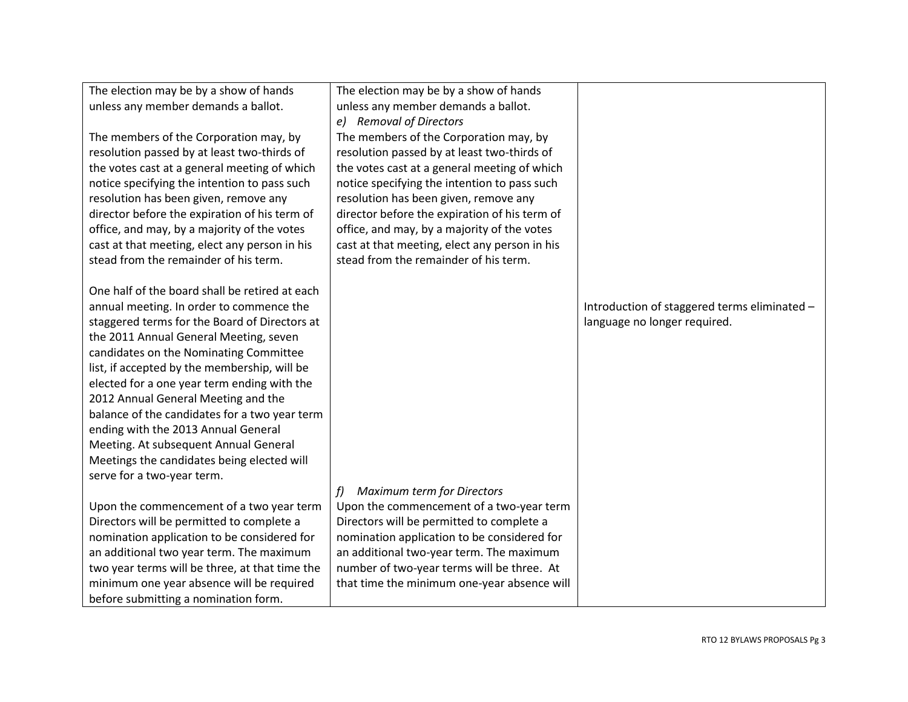| The election may be by a show of hands<br>unless any member demands a ballot.<br>The members of the Corporation may, by<br>resolution passed by at least two-thirds of<br>the votes cast at a general meeting of which<br>notice specifying the intention to pass such<br>resolution has been given, remove any<br>director before the expiration of his term of                                                                                                                                                                                                                   | The election may be by a show of hands<br>unless any member demands a ballot.<br>e) Removal of Directors<br>The members of the Corporation may, by<br>resolution passed by at least two-thirds of<br>the votes cast at a general meeting of which<br>notice specifying the intention to pass such<br>resolution has been given, remove any<br>director before the expiration of his term of |                                                                              |
|------------------------------------------------------------------------------------------------------------------------------------------------------------------------------------------------------------------------------------------------------------------------------------------------------------------------------------------------------------------------------------------------------------------------------------------------------------------------------------------------------------------------------------------------------------------------------------|---------------------------------------------------------------------------------------------------------------------------------------------------------------------------------------------------------------------------------------------------------------------------------------------------------------------------------------------------------------------------------------------|------------------------------------------------------------------------------|
| office, and may, by a majority of the votes<br>cast at that meeting, elect any person in his<br>stead from the remainder of his term.                                                                                                                                                                                                                                                                                                                                                                                                                                              | office, and may, by a majority of the votes<br>cast at that meeting, elect any person in his<br>stead from the remainder of his term.                                                                                                                                                                                                                                                       |                                                                              |
| One half of the board shall be retired at each<br>annual meeting. In order to commence the<br>staggered terms for the Board of Directors at<br>the 2011 Annual General Meeting, seven<br>candidates on the Nominating Committee<br>list, if accepted by the membership, will be<br>elected for a one year term ending with the<br>2012 Annual General Meeting and the<br>balance of the candidates for a two year term<br>ending with the 2013 Annual General<br>Meeting. At subsequent Annual General<br>Meetings the candidates being elected will<br>serve for a two-year term. |                                                                                                                                                                                                                                                                                                                                                                                             | Introduction of staggered terms eliminated -<br>language no longer required. |
| Upon the commencement of a two year term<br>Directors will be permitted to complete a<br>nomination application to be considered for<br>an additional two year term. The maximum<br>two year terms will be three, at that time the<br>minimum one year absence will be required<br>before submitting a nomination form.                                                                                                                                                                                                                                                            | f<br><b>Maximum term for Directors</b><br>Upon the commencement of a two-year term<br>Directors will be permitted to complete a<br>nomination application to be considered for<br>an additional two-year term. The maximum<br>number of two-year terms will be three. At<br>that time the minimum one-year absence will                                                                     |                                                                              |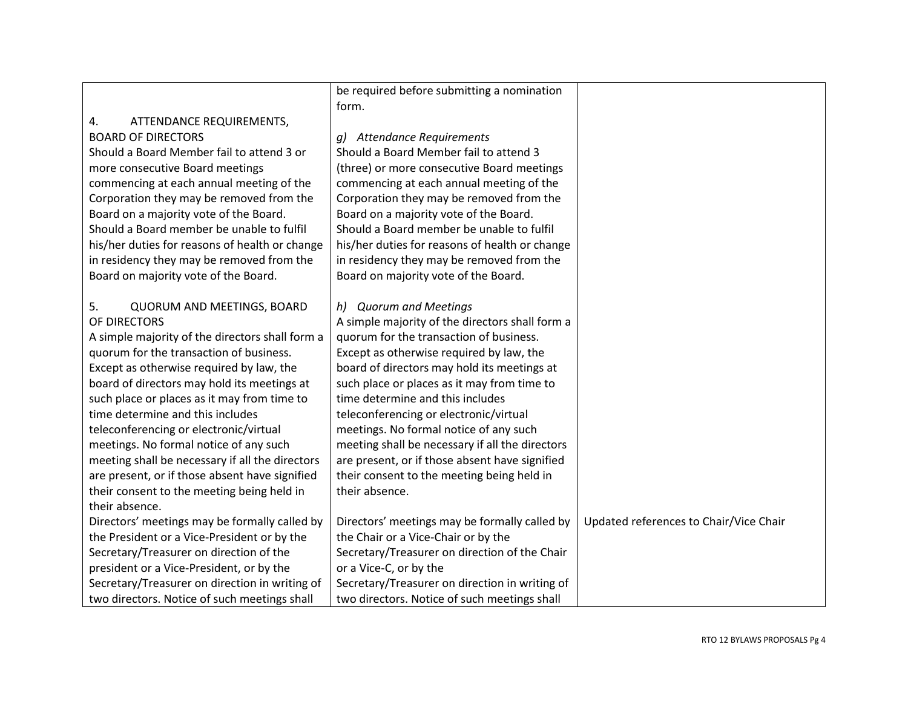|                                                 | be required before submitting a nomination      |                                        |
|-------------------------------------------------|-------------------------------------------------|----------------------------------------|
|                                                 |                                                 |                                        |
|                                                 | form.                                           |                                        |
| ATTENDANCE REQUIREMENTS,<br>4.                  |                                                 |                                        |
| <b>BOARD OF DIRECTORS</b>                       | g) Attendance Requirements                      |                                        |
| Should a Board Member fail to attend 3 or       | Should a Board Member fail to attend 3          |                                        |
| more consecutive Board meetings                 | (three) or more consecutive Board meetings      |                                        |
| commencing at each annual meeting of the        | commencing at each annual meeting of the        |                                        |
| Corporation they may be removed from the        | Corporation they may be removed from the        |                                        |
| Board on a majority vote of the Board.          | Board on a majority vote of the Board.          |                                        |
| Should a Board member be unable to fulfil       | Should a Board member be unable to fulfil       |                                        |
| his/her duties for reasons of health or change  | his/her duties for reasons of health or change  |                                        |
| in residency they may be removed from the       | in residency they may be removed from the       |                                        |
| Board on majority vote of the Board.            | Board on majority vote of the Board.            |                                        |
|                                                 |                                                 |                                        |
| 5.<br>QUORUM AND MEETINGS, BOARD                | <b>Quorum and Meetings</b><br>h)                |                                        |
| OF DIRECTORS                                    | A simple majority of the directors shall form a |                                        |
| A simple majority of the directors shall form a | quorum for the transaction of business.         |                                        |
| quorum for the transaction of business.         | Except as otherwise required by law, the        |                                        |
| Except as otherwise required by law, the        | board of directors may hold its meetings at     |                                        |
| board of directors may hold its meetings at     | such place or places as it may from time to     |                                        |
| such place or places as it may from time to     | time determine and this includes                |                                        |
| time determine and this includes                | teleconferencing or electronic/virtual          |                                        |
| teleconferencing or electronic/virtual          | meetings. No formal notice of any such          |                                        |
| meetings. No formal notice of any such          | meeting shall be necessary if all the directors |                                        |
| meeting shall be necessary if all the directors | are present, or if those absent have signified  |                                        |
| are present, or if those absent have signified  | their consent to the meeting being held in      |                                        |
| their consent to the meeting being held in      | their absence.                                  |                                        |
| their absence.                                  |                                                 |                                        |
|                                                 |                                                 |                                        |
| Directors' meetings may be formally called by   | Directors' meetings may be formally called by   | Updated references to Chair/Vice Chair |
| the President or a Vice-President or by the     | the Chair or a Vice-Chair or by the             |                                        |
| Secretary/Treasurer on direction of the         | Secretary/Treasurer on direction of the Chair   |                                        |
| president or a Vice-President, or by the        | or a Vice-C, or by the                          |                                        |
| Secretary/Treasurer on direction in writing of  | Secretary/Treasurer on direction in writing of  |                                        |
| two directors. Notice of such meetings shall    | two directors. Notice of such meetings shall    |                                        |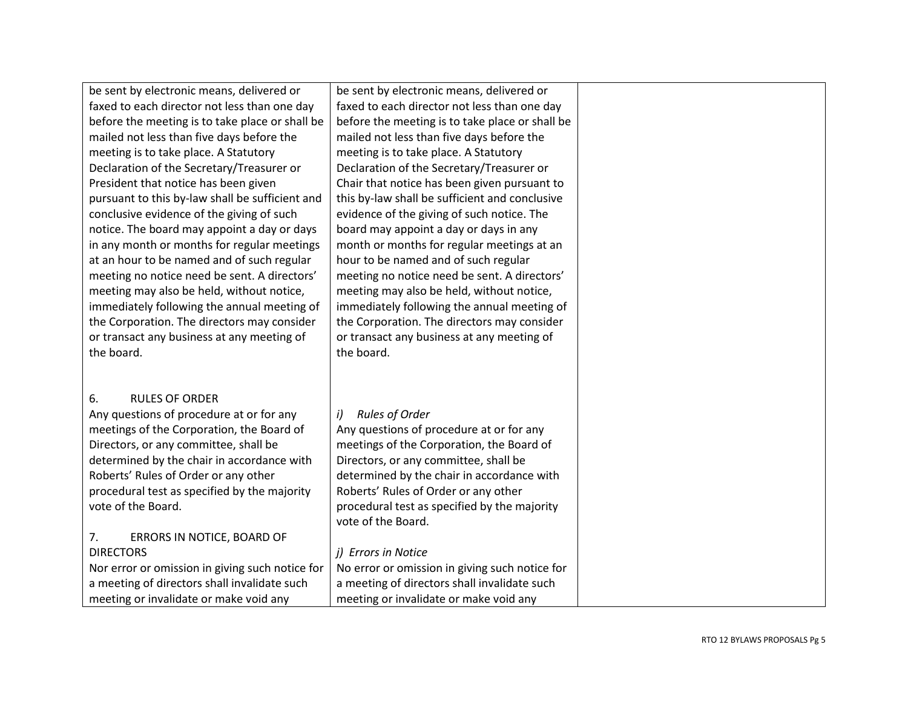| be sent by electronic means, delivered or       | be sent by electronic means, delivered or       |  |
|-------------------------------------------------|-------------------------------------------------|--|
| faxed to each director not less than one day    | faxed to each director not less than one day    |  |
| before the meeting is to take place or shall be | before the meeting is to take place or shall be |  |
| mailed not less than five days before the       | mailed not less than five days before the       |  |
| meeting is to take place. A Statutory           | meeting is to take place. A Statutory           |  |
| Declaration of the Secretary/Treasurer or       | Declaration of the Secretary/Treasurer or       |  |
| President that notice has been given            | Chair that notice has been given pursuant to    |  |
| pursuant to this by-law shall be sufficient and | this by-law shall be sufficient and conclusive  |  |
| conclusive evidence of the giving of such       | evidence of the giving of such notice. The      |  |
| notice. The board may appoint a day or days     | board may appoint a day or days in any          |  |
| in any month or months for regular meetings     | month or months for regular meetings at an      |  |
| at an hour to be named and of such regular      | hour to be named and of such regular            |  |
| meeting no notice need be sent. A directors'    | meeting no notice need be sent. A directors'    |  |
| meeting may also be held, without notice,       | meeting may also be held, without notice,       |  |
| immediately following the annual meeting of     | immediately following the annual meeting of     |  |
| the Corporation. The directors may consider     | the Corporation. The directors may consider     |  |
| or transact any business at any meeting of      | or transact any business at any meeting of      |  |
| the board.                                      | the board.                                      |  |
|                                                 |                                                 |  |
|                                                 |                                                 |  |
| 6.<br><b>RULES OF ORDER</b>                     |                                                 |  |
| Any questions of procedure at or for any        | <b>Rules of Order</b><br>i)                     |  |
| meetings of the Corporation, the Board of       | Any questions of procedure at or for any        |  |
| Directors, or any committee, shall be           | meetings of the Corporation, the Board of       |  |
| determined by the chair in accordance with      | Directors, or any committee, shall be           |  |
| Roberts' Rules of Order or any other            | determined by the chair in accordance with      |  |
| procedural test as specified by the majority    | Roberts' Rules of Order or any other            |  |
| vote of the Board.                              | procedural test as specified by the majority    |  |
|                                                 | vote of the Board.                              |  |
| 7.<br>ERRORS IN NOTICE, BOARD OF                |                                                 |  |
| <b>DIRECTORS</b>                                | j) Errors in Notice                             |  |
| Nor error or omission in giving such notice for | No error or omission in giving such notice for  |  |
| a meeting of directors shall invalidate such    | a meeting of directors shall invalidate such    |  |
| meeting or invalidate or make void any          | meeting or invalidate or make void any          |  |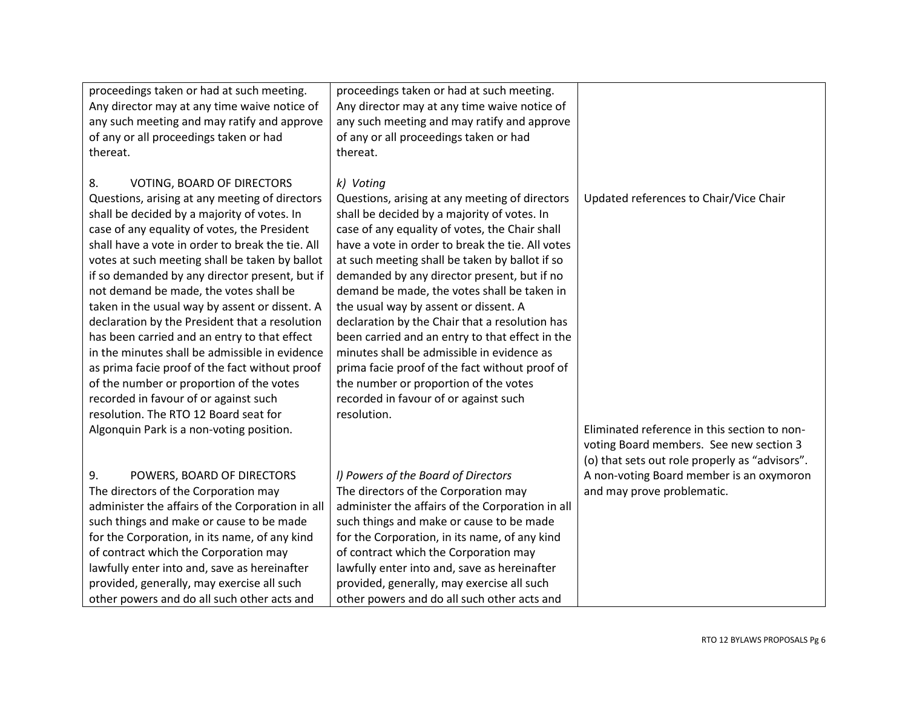| proceedings taken or had at such meeting.<br>Any director may at any time waive notice of<br>any such meeting and may ratify and approve<br>of any or all proceedings taken or had<br>thereat.                                                                                                                                                                                                                                                                                                                                                                                                                                                                                                                                                                                   | proceedings taken or had at such meeting.<br>Any director may at any time waive notice of<br>any such meeting and may ratify and approve<br>of any or all proceedings taken or had<br>thereat.                                                                                                                                                                                                                                                                                                                                                                                                                                                                                                                  |                                                                                                                                           |
|----------------------------------------------------------------------------------------------------------------------------------------------------------------------------------------------------------------------------------------------------------------------------------------------------------------------------------------------------------------------------------------------------------------------------------------------------------------------------------------------------------------------------------------------------------------------------------------------------------------------------------------------------------------------------------------------------------------------------------------------------------------------------------|-----------------------------------------------------------------------------------------------------------------------------------------------------------------------------------------------------------------------------------------------------------------------------------------------------------------------------------------------------------------------------------------------------------------------------------------------------------------------------------------------------------------------------------------------------------------------------------------------------------------------------------------------------------------------------------------------------------------|-------------------------------------------------------------------------------------------------------------------------------------------|
| 8.<br><b>VOTING, BOARD OF DIRECTORS</b><br>Questions, arising at any meeting of directors<br>shall be decided by a majority of votes. In<br>case of any equality of votes, the President<br>shall have a vote in order to break the tie. All<br>votes at such meeting shall be taken by ballot<br>if so demanded by any director present, but if<br>not demand be made, the votes shall be<br>taken in the usual way by assent or dissent. A<br>declaration by the President that a resolution<br>has been carried and an entry to that effect<br>in the minutes shall be admissible in evidence<br>as prima facie proof of the fact without proof<br>of the number or proportion of the votes<br>recorded in favour of or against such<br>resolution. The RTO 12 Board seat for | k) Voting<br>Questions, arising at any meeting of directors<br>shall be decided by a majority of votes. In<br>case of any equality of votes, the Chair shall<br>have a vote in order to break the tie. All votes<br>at such meeting shall be taken by ballot if so<br>demanded by any director present, but if no<br>demand be made, the votes shall be taken in<br>the usual way by assent or dissent. A<br>declaration by the Chair that a resolution has<br>been carried and an entry to that effect in the<br>minutes shall be admissible in evidence as<br>prima facie proof of the fact without proof of<br>the number or proportion of the votes<br>recorded in favour of or against such<br>resolution. | Updated references to Chair/Vice Chair                                                                                                    |
| Algonquin Park is a non-voting position.                                                                                                                                                                                                                                                                                                                                                                                                                                                                                                                                                                                                                                                                                                                                         |                                                                                                                                                                                                                                                                                                                                                                                                                                                                                                                                                                                                                                                                                                                 | Eliminated reference in this section to non-<br>voting Board members. See new section 3<br>(o) that sets out role properly as "advisors". |
| 9.<br>POWERS, BOARD OF DIRECTORS<br>The directors of the Corporation may<br>administer the affairs of the Corporation in all<br>such things and make or cause to be made<br>for the Corporation, in its name, of any kind<br>of contract which the Corporation may<br>lawfully enter into and, save as hereinafter<br>provided, generally, may exercise all such<br>other powers and do all such other acts and                                                                                                                                                                                                                                                                                                                                                                  | I) Powers of the Board of Directors<br>The directors of the Corporation may<br>administer the affairs of the Corporation in all<br>such things and make or cause to be made<br>for the Corporation, in its name, of any kind<br>of contract which the Corporation may<br>lawfully enter into and, save as hereinafter<br>provided, generally, may exercise all such<br>other powers and do all such other acts and                                                                                                                                                                                                                                                                                              | A non-voting Board member is an oxymoron<br>and may prove problematic.                                                                    |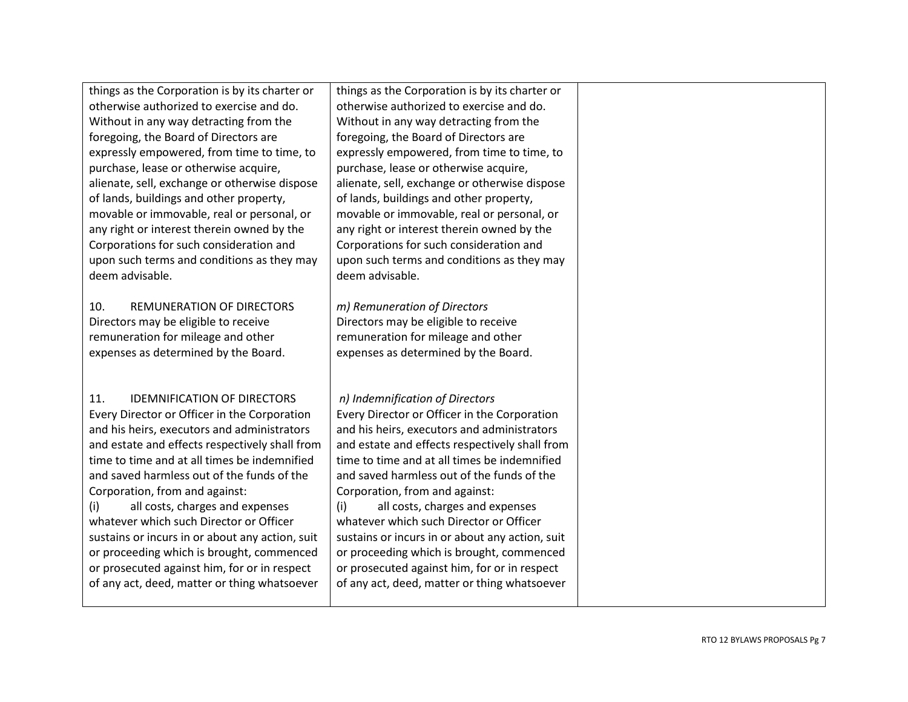| things as the Corporation is by its charter or  | things as the Corporation is by its charter or  |  |
|-------------------------------------------------|-------------------------------------------------|--|
| otherwise authorized to exercise and do.        | otherwise authorized to exercise and do.        |  |
| Without in any way detracting from the          | Without in any way detracting from the          |  |
| foregoing, the Board of Directors are           | foregoing, the Board of Directors are           |  |
| expressly empowered, from time to time, to      | expressly empowered, from time to time, to      |  |
| purchase, lease or otherwise acquire,           | purchase, lease or otherwise acquire,           |  |
| alienate, sell, exchange or otherwise dispose   | alienate, sell, exchange or otherwise dispose   |  |
| of lands, buildings and other property,         | of lands, buildings and other property,         |  |
| movable or immovable, real or personal, or      | movable or immovable, real or personal, or      |  |
| any right or interest therein owned by the      | any right or interest therein owned by the      |  |
| Corporations for such consideration and         | Corporations for such consideration and         |  |
| upon such terms and conditions as they may      | upon such terms and conditions as they may      |  |
| deem advisable.                                 | deem advisable.                                 |  |
|                                                 |                                                 |  |
| REMUNERATION OF DIRECTORS<br>10.                | m) Remuneration of Directors                    |  |
| Directors may be eligible to receive            | Directors may be eligible to receive            |  |
| remuneration for mileage and other              | remuneration for mileage and other              |  |
| expenses as determined by the Board.            | expenses as determined by the Board.            |  |
|                                                 |                                                 |  |
| 11.<br><b>IDEMNIFICATION OF DIRECTORS</b>       |                                                 |  |
|                                                 | n) Indemnification of Directors                 |  |
| Every Director or Officer in the Corporation    | Every Director or Officer in the Corporation    |  |
| and his heirs, executors and administrators     | and his heirs, executors and administrators     |  |
| and estate and effects respectively shall from  | and estate and effects respectively shall from  |  |
| time to time and at all times be indemnified    | time to time and at all times be indemnified    |  |
| and saved harmless out of the funds of the      | and saved harmless out of the funds of the      |  |
| Corporation, from and against:                  | Corporation, from and against:                  |  |
| all costs, charges and expenses<br>(i)          | all costs, charges and expenses<br>(i)          |  |
| whatever which such Director or Officer         | whatever which such Director or Officer         |  |
| sustains or incurs in or about any action, suit | sustains or incurs in or about any action, suit |  |
| or proceeding which is brought, commenced       | or proceeding which is brought, commenced       |  |
| or prosecuted against him, for or in respect    | or prosecuted against him, for or in respect    |  |
| of any act, deed, matter or thing whatsoever    | of any act, deed, matter or thing whatsoever    |  |
|                                                 |                                                 |  |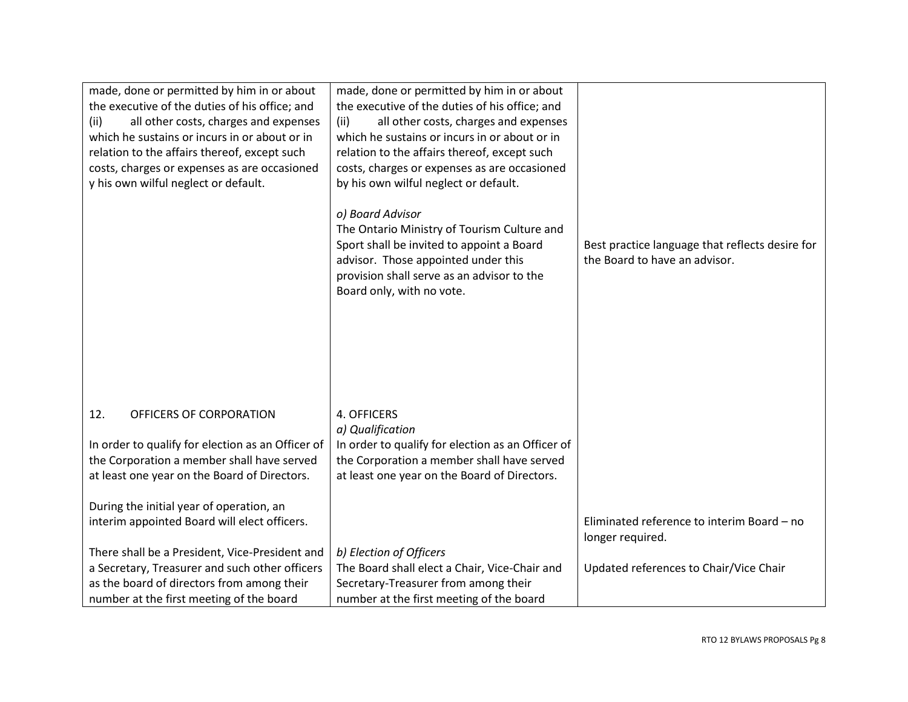| made, done or permitted by him in or about<br>the executive of the duties of his office; and<br>all other costs, charges and expenses<br>(ii)<br>which he sustains or incurs in or about or in<br>relation to the affairs thereof, except such<br>costs, charges or expenses as are occasioned<br>y his own wilful neglect or default. | made, done or permitted by him in or about<br>the executive of the duties of his office; and<br>all other costs, charges and expenses<br>(ii)<br>which he sustains or incurs in or about or in<br>relation to the affairs thereof, except such<br>costs, charges or expenses as are occasioned<br>by his own wilful neglect or default.<br>o) Board Advisor<br>The Ontario Ministry of Tourism Culture and<br>Sport shall be invited to appoint a Board<br>advisor. Those appointed under this<br>provision shall serve as an advisor to the<br>Board only, with no vote. | Best practice language that reflects desire for<br>the Board to have an advisor. |
|----------------------------------------------------------------------------------------------------------------------------------------------------------------------------------------------------------------------------------------------------------------------------------------------------------------------------------------|---------------------------------------------------------------------------------------------------------------------------------------------------------------------------------------------------------------------------------------------------------------------------------------------------------------------------------------------------------------------------------------------------------------------------------------------------------------------------------------------------------------------------------------------------------------------------|----------------------------------------------------------------------------------|
| 12.<br>OFFICERS OF CORPORATION<br>In order to qualify for election as an Officer of<br>the Corporation a member shall have served<br>at least one year on the Board of Directors.                                                                                                                                                      | 4. OFFICERS<br>a) Qualification<br>In order to qualify for election as an Officer of<br>the Corporation a member shall have served<br>at least one year on the Board of Directors.                                                                                                                                                                                                                                                                                                                                                                                        |                                                                                  |
| During the initial year of operation, an<br>interim appointed Board will elect officers.<br>There shall be a President, Vice-President and                                                                                                                                                                                             | b) Election of Officers                                                                                                                                                                                                                                                                                                                                                                                                                                                                                                                                                   | Eliminated reference to interim Board - no<br>longer required.                   |
| a Secretary, Treasurer and such other officers<br>as the board of directors from among their<br>number at the first meeting of the board                                                                                                                                                                                               | The Board shall elect a Chair, Vice-Chair and<br>Secretary-Treasurer from among their<br>number at the first meeting of the board                                                                                                                                                                                                                                                                                                                                                                                                                                         | Updated references to Chair/Vice Chair                                           |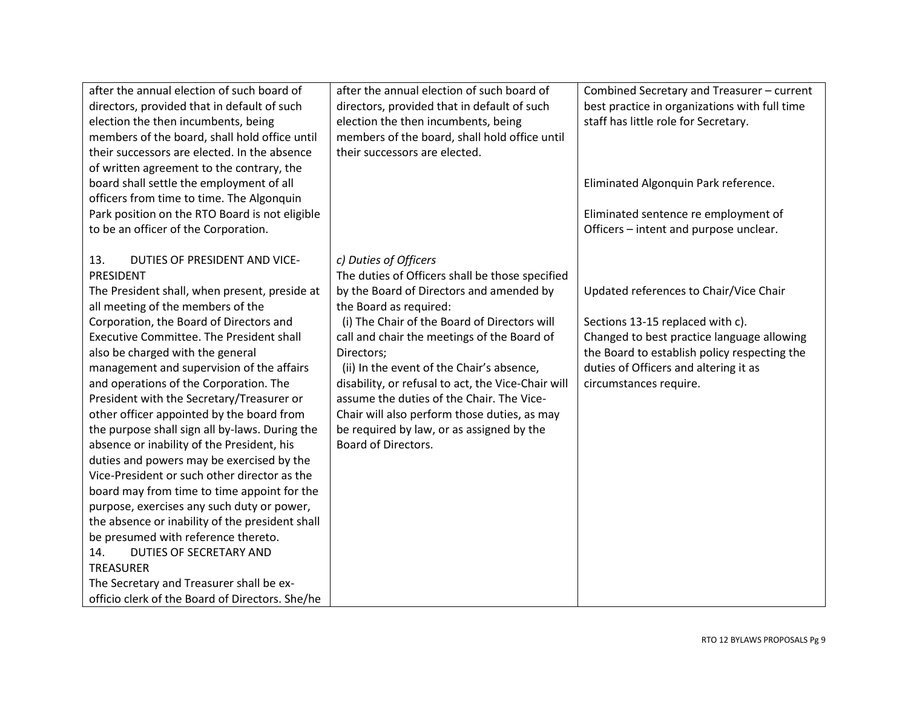| after the annual election of such board of<br>directors, provided that in default of such<br>election the then incumbents, being<br>members of the board, shall hold office until<br>their successors are elected. In the absence<br>of written agreement to the contrary, the<br>board shall settle the employment of all<br>officers from time to time. The Algonquin<br>Park position on the RTO Board is not eligible                                                                                                                                                                                                                                                                                                                                                                                                                                                                                                                                                                                  | after the annual election of such board of<br>directors, provided that in default of such<br>election the then incumbents, being<br>members of the board, shall hold office until<br>their successors are elected.                                                                                                                                                                                                                                                                                                                     | Combined Secretary and Treasurer - current<br>best practice in organizations with full time<br>staff has little role for Secretary.<br>Eliminated Algonquin Park reference.<br>Eliminated sentence re employment of                         |
|------------------------------------------------------------------------------------------------------------------------------------------------------------------------------------------------------------------------------------------------------------------------------------------------------------------------------------------------------------------------------------------------------------------------------------------------------------------------------------------------------------------------------------------------------------------------------------------------------------------------------------------------------------------------------------------------------------------------------------------------------------------------------------------------------------------------------------------------------------------------------------------------------------------------------------------------------------------------------------------------------------|----------------------------------------------------------------------------------------------------------------------------------------------------------------------------------------------------------------------------------------------------------------------------------------------------------------------------------------------------------------------------------------------------------------------------------------------------------------------------------------------------------------------------------------|---------------------------------------------------------------------------------------------------------------------------------------------------------------------------------------------------------------------------------------------|
| to be an officer of the Corporation.                                                                                                                                                                                                                                                                                                                                                                                                                                                                                                                                                                                                                                                                                                                                                                                                                                                                                                                                                                       |                                                                                                                                                                                                                                                                                                                                                                                                                                                                                                                                        | Officers - intent and purpose unclear.                                                                                                                                                                                                      |
| 13.<br>DUTIES OF PRESIDENT AND VICE-<br>PRESIDENT<br>The President shall, when present, preside at<br>all meeting of the members of the<br>Corporation, the Board of Directors and<br><b>Executive Committee. The President shall</b><br>also be charged with the general<br>management and supervision of the affairs<br>and operations of the Corporation. The<br>President with the Secretary/Treasurer or<br>other officer appointed by the board from<br>the purpose shall sign all by-laws. During the<br>absence or inability of the President, his<br>duties and powers may be exercised by the<br>Vice-President or such other director as the<br>board may from time to time appoint for the<br>purpose, exercises any such duty or power,<br>the absence or inability of the president shall<br>be presumed with reference thereto.<br><b>DUTIES OF SECRETARY AND</b><br>14.<br><b>TREASURER</b><br>The Secretary and Treasurer shall be ex-<br>officio clerk of the Board of Directors. She/he | c) Duties of Officers<br>The duties of Officers shall be those specified<br>by the Board of Directors and amended by<br>the Board as required:<br>(i) The Chair of the Board of Directors will<br>call and chair the meetings of the Board of<br>Directors;<br>(ii) In the event of the Chair's absence,<br>disability, or refusal to act, the Vice-Chair will<br>assume the duties of the Chair. The Vice-<br>Chair will also perform those duties, as may<br>be required by law, or as assigned by the<br><b>Board of Directors.</b> | Updated references to Chair/Vice Chair<br>Sections 13-15 replaced with c).<br>Changed to best practice language allowing<br>the Board to establish policy respecting the<br>duties of Officers and altering it as<br>circumstances require. |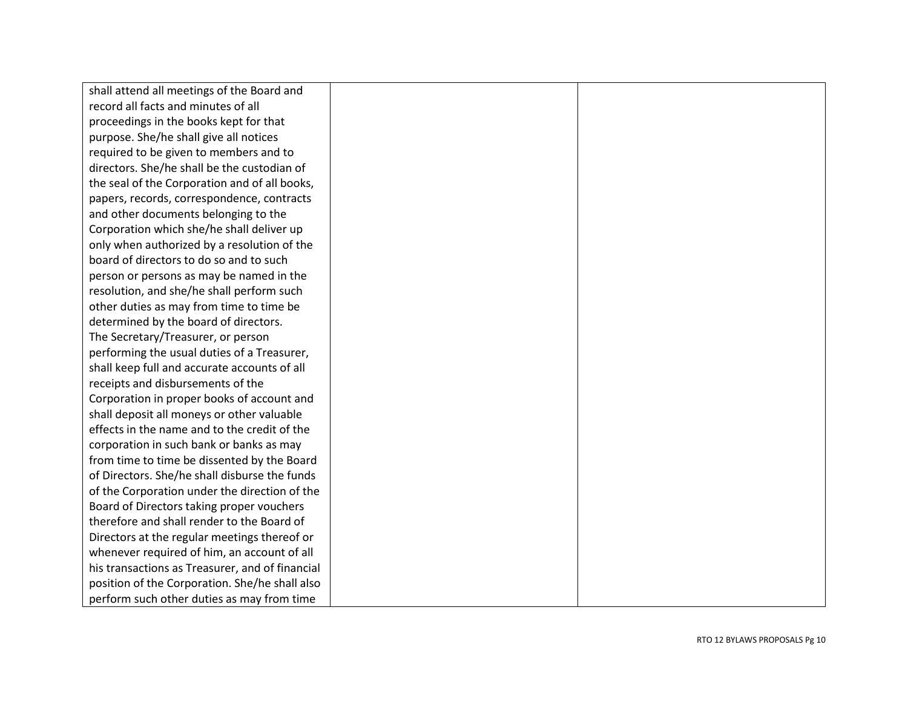| shall attend all meetings of the Board and      |  |
|-------------------------------------------------|--|
| record all facts and minutes of all             |  |
| proceedings in the books kept for that          |  |
| purpose. She/he shall give all notices          |  |
| required to be given to members and to          |  |
| directors. She/he shall be the custodian of     |  |
| the seal of the Corporation and of all books,   |  |
| papers, records, correspondence, contracts      |  |
| and other documents belonging to the            |  |
| Corporation which she/he shall deliver up       |  |
| only when authorized by a resolution of the     |  |
| board of directors to do so and to such         |  |
| person or persons as may be named in the        |  |
| resolution, and she/he shall perform such       |  |
| other duties as may from time to time be        |  |
| determined by the board of directors.           |  |
| The Secretary/Treasurer, or person              |  |
| performing the usual duties of a Treasurer,     |  |
| shall keep full and accurate accounts of all    |  |
| receipts and disbursements of the               |  |
| Corporation in proper books of account and      |  |
| shall deposit all moneys or other valuable      |  |
| effects in the name and to the credit of the    |  |
| corporation in such bank or banks as may        |  |
| from time to time be dissented by the Board     |  |
| of Directors. She/he shall disburse the funds   |  |
| of the Corporation under the direction of the   |  |
| Board of Directors taking proper vouchers       |  |
| therefore and shall render to the Board of      |  |
| Directors at the regular meetings thereof or    |  |
| whenever required of him, an account of all     |  |
| his transactions as Treasurer, and of financial |  |
| position of the Corporation. She/he shall also  |  |
| perform such other duties as may from time      |  |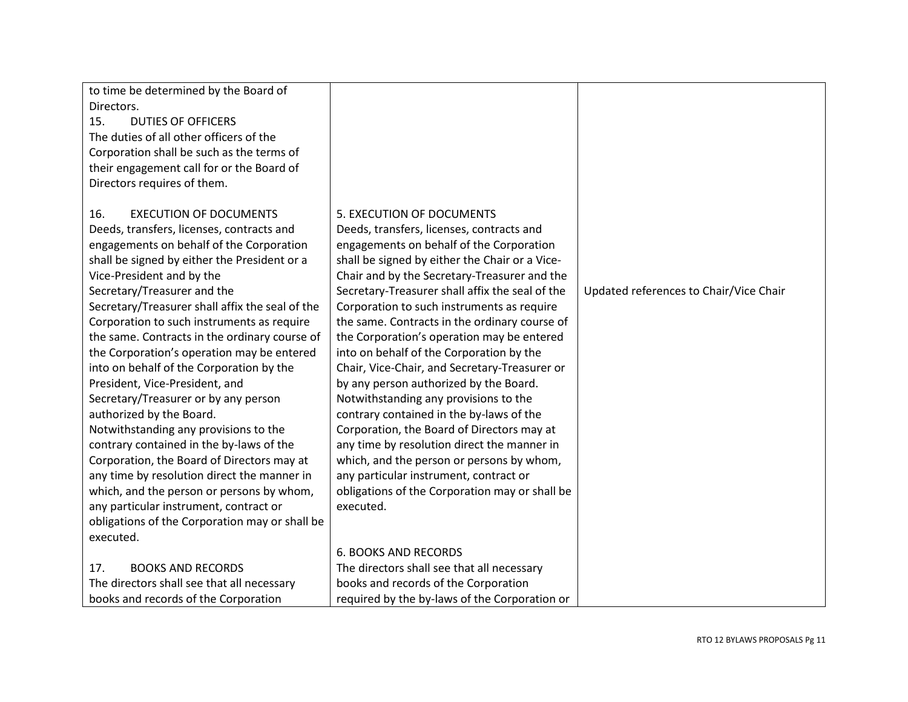| to time be determined by the Board of           |                                                 |                                        |
|-------------------------------------------------|-------------------------------------------------|----------------------------------------|
| Directors.                                      |                                                 |                                        |
| 15.<br><b>DUTIES OF OFFICERS</b>                |                                                 |                                        |
| The duties of all other officers of the         |                                                 |                                        |
| Corporation shall be such as the terms of       |                                                 |                                        |
| their engagement call for or the Board of       |                                                 |                                        |
| Directors requires of them.                     |                                                 |                                        |
|                                                 |                                                 |                                        |
| 16.<br><b>EXECUTION OF DOCUMENTS</b>            | 5. EXECUTION OF DOCUMENTS                       |                                        |
| Deeds, transfers, licenses, contracts and       | Deeds, transfers, licenses, contracts and       |                                        |
| engagements on behalf of the Corporation        | engagements on behalf of the Corporation        |                                        |
| shall be signed by either the President or a    | shall be signed by either the Chair or a Vice-  |                                        |
| Vice-President and by the                       | Chair and by the Secretary-Treasurer and the    |                                        |
| Secretary/Treasurer and the                     | Secretary-Treasurer shall affix the seal of the | Updated references to Chair/Vice Chair |
| Secretary/Treasurer shall affix the seal of the | Corporation to such instruments as require      |                                        |
| Corporation to such instruments as require      | the same. Contracts in the ordinary course of   |                                        |
| the same. Contracts in the ordinary course of   | the Corporation's operation may be entered      |                                        |
| the Corporation's operation may be entered      | into on behalf of the Corporation by the        |                                        |
| into on behalf of the Corporation by the        | Chair, Vice-Chair, and Secretary-Treasurer or   |                                        |
| President, Vice-President, and                  | by any person authorized by the Board.          |                                        |
| Secretary/Treasurer or by any person            | Notwithstanding any provisions to the           |                                        |
| authorized by the Board.                        | contrary contained in the by-laws of the        |                                        |
| Notwithstanding any provisions to the           | Corporation, the Board of Directors may at      |                                        |
| contrary contained in the by-laws of the        | any time by resolution direct the manner in     |                                        |
| Corporation, the Board of Directors may at      | which, and the person or persons by whom,       |                                        |
| any time by resolution direct the manner in     | any particular instrument, contract or          |                                        |
| which, and the person or persons by whom,       | obligations of the Corporation may or shall be  |                                        |
| any particular instrument, contract or          | executed.                                       |                                        |
| obligations of the Corporation may or shall be  |                                                 |                                        |
| executed.                                       |                                                 |                                        |
|                                                 | <b>6. BOOKS AND RECORDS</b>                     |                                        |
| <b>BOOKS AND RECORDS</b><br>17.                 | The directors shall see that all necessary      |                                        |
| The directors shall see that all necessary      | books and records of the Corporation            |                                        |
| books and records of the Corporation            | required by the by-laws of the Corporation or   |                                        |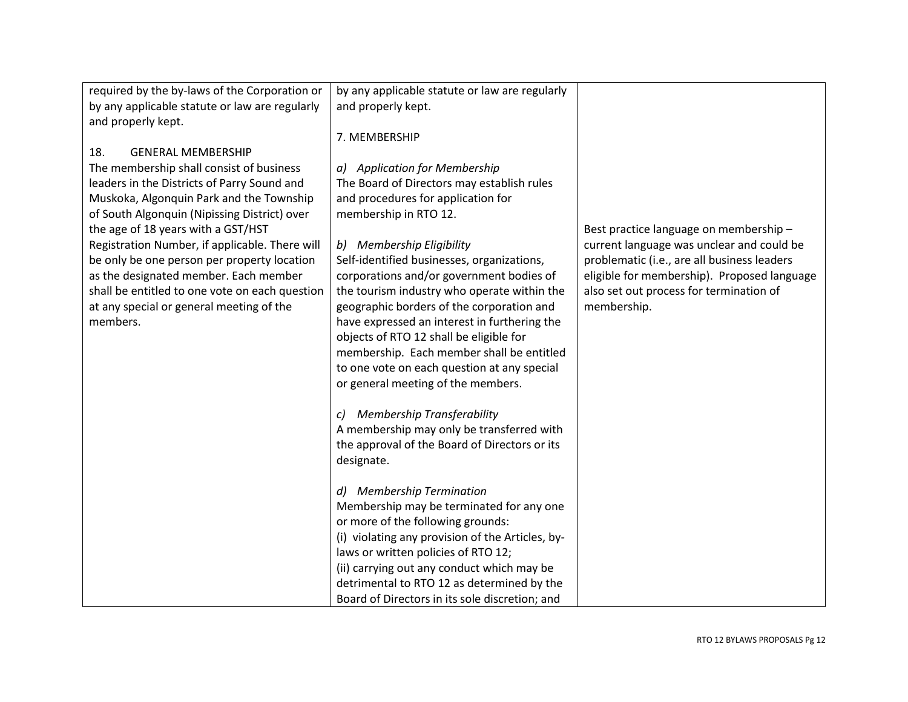| required by the by-laws of the Corporation or  | by any applicable statute or law are regularly   |                                             |
|------------------------------------------------|--------------------------------------------------|---------------------------------------------|
| by any applicable statute or law are regularly | and properly kept.                               |                                             |
| and properly kept.                             |                                                  |                                             |
|                                                | 7. MEMBERSHIP                                    |                                             |
| 18.<br><b>GENERAL MEMBERSHIP</b>               |                                                  |                                             |
| The membership shall consist of business       | a) Application for Membership                    |                                             |
| leaders in the Districts of Parry Sound and    | The Board of Directors may establish rules       |                                             |
| Muskoka, Algonquin Park and the Township       | and procedures for application for               |                                             |
| of South Algonquin (Nipissing District) over   | membership in RTO 12.                            |                                             |
| the age of 18 years with a GST/HST             |                                                  | Best practice language on membership-       |
| Registration Number, if applicable. There will | b) Membership Eligibility                        | current language was unclear and could be   |
| be only be one person per property location    | Self-identified businesses, organizations,       | problematic (i.e., are all business leaders |
| as the designated member. Each member          | corporations and/or government bodies of         | eligible for membership). Proposed language |
| shall be entitled to one vote on each question | the tourism industry who operate within the      | also set out process for termination of     |
| at any special or general meeting of the       | geographic borders of the corporation and        | membership.                                 |
| members.                                       | have expressed an interest in furthering the     |                                             |
|                                                | objects of RTO 12 shall be eligible for          |                                             |
|                                                | membership. Each member shall be entitled        |                                             |
|                                                | to one vote on each question at any special      |                                             |
|                                                | or general meeting of the members.               |                                             |
|                                                | c) Membership Transferability                    |                                             |
|                                                | A membership may only be transferred with        |                                             |
|                                                | the approval of the Board of Directors or its    |                                             |
|                                                | designate.                                       |                                             |
|                                                |                                                  |                                             |
|                                                | d) Membership Termination                        |                                             |
|                                                | Membership may be terminated for any one         |                                             |
|                                                | or more of the following grounds:                |                                             |
|                                                | (i) violating any provision of the Articles, by- |                                             |
|                                                | laws or written policies of RTO 12;              |                                             |
|                                                | (ii) carrying out any conduct which may be       |                                             |
|                                                | detrimental to RTO 12 as determined by the       |                                             |
|                                                | Board of Directors in its sole discretion; and   |                                             |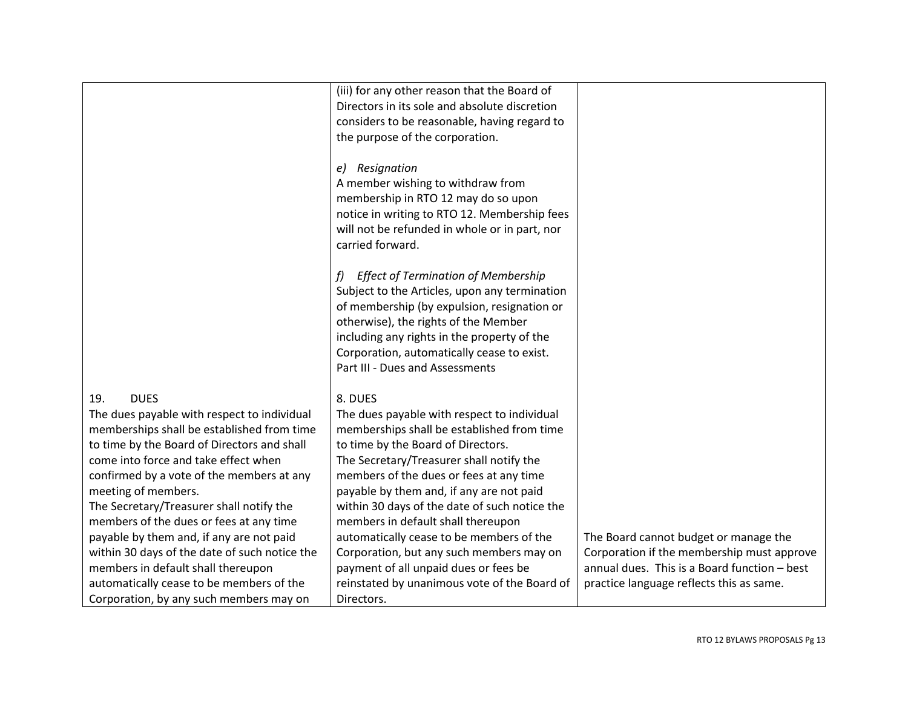|                                                                                     | (iii) for any other reason that the Board of<br>Directors in its sole and absolute discretion<br>considers to be reasonable, having regard to<br>the purpose of the corporation.                                                        |                                                                                            |
|-------------------------------------------------------------------------------------|-----------------------------------------------------------------------------------------------------------------------------------------------------------------------------------------------------------------------------------------|--------------------------------------------------------------------------------------------|
|                                                                                     | e) Resignation<br>A member wishing to withdraw from<br>membership in RTO 12 may do so upon<br>notice in writing to RTO 12. Membership fees<br>will not be refunded in whole or in part, nor<br>carried forward.                         |                                                                                            |
|                                                                                     | <b>Effect of Termination of Membership</b><br>J)<br>Subject to the Articles, upon any termination<br>of membership (by expulsion, resignation or<br>otherwise), the rights of the Member<br>including any rights in the property of the |                                                                                            |
|                                                                                     | Corporation, automatically cease to exist.<br>Part III - Dues and Assessments                                                                                                                                                           |                                                                                            |
| <b>DUES</b><br>19.<br>The dues payable with respect to individual                   | 8. DUES<br>The dues payable with respect to individual                                                                                                                                                                                  |                                                                                            |
| memberships shall be established from time                                          | memberships shall be established from time                                                                                                                                                                                              |                                                                                            |
| to time by the Board of Directors and shall<br>come into force and take effect when | to time by the Board of Directors.<br>The Secretary/Treasurer shall notify the                                                                                                                                                          |                                                                                            |
| confirmed by a vote of the members at any                                           | members of the dues or fees at any time                                                                                                                                                                                                 |                                                                                            |
| meeting of members.<br>The Secretary/Treasurer shall notify the                     | payable by them and, if any are not paid<br>within 30 days of the date of such notice the                                                                                                                                               |                                                                                            |
| members of the dues or fees at any time                                             | members in default shall thereupon                                                                                                                                                                                                      |                                                                                            |
| payable by them and, if any are not paid                                            | automatically cease to be members of the                                                                                                                                                                                                | The Board cannot budget or manage the                                                      |
| within 30 days of the date of such notice the<br>members in default shall thereupon | Corporation, but any such members may on<br>payment of all unpaid dues or fees be                                                                                                                                                       | Corporation if the membership must approve<br>annual dues. This is a Board function - best |
| automatically cease to be members of the                                            | reinstated by unanimous vote of the Board of                                                                                                                                                                                            | practice language reflects this as same.                                                   |
| Corporation, by any such members may on                                             | Directors.                                                                                                                                                                                                                              |                                                                                            |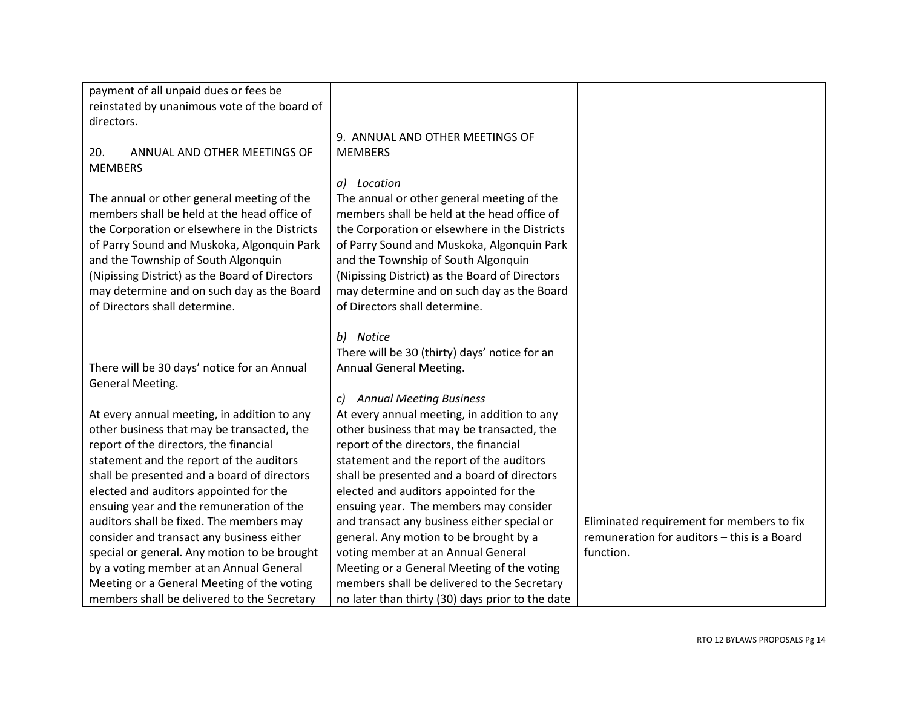| payment of all unpaid dues or fees be          |                                                  |                                             |
|------------------------------------------------|--------------------------------------------------|---------------------------------------------|
| reinstated by unanimous vote of the board of   |                                                  |                                             |
| directors.                                     |                                                  |                                             |
|                                                | 9. ANNUAL AND OTHER MEETINGS OF                  |                                             |
| ANNUAL AND OTHER MEETINGS OF<br>20.            | <b>MEMBERS</b>                                   |                                             |
| <b>MEMBERS</b>                                 |                                                  |                                             |
|                                                | a) Location                                      |                                             |
| The annual or other general meeting of the     | The annual or other general meeting of the       |                                             |
| members shall be held at the head office of    | members shall be held at the head office of      |                                             |
| the Corporation or elsewhere in the Districts  | the Corporation or elsewhere in the Districts    |                                             |
| of Parry Sound and Muskoka, Algonquin Park     | of Parry Sound and Muskoka, Algonquin Park       |                                             |
| and the Township of South Algonquin            | and the Township of South Algonquin              |                                             |
| (Nipissing District) as the Board of Directors | (Nipissing District) as the Board of Directors   |                                             |
| may determine and on such day as the Board     | may determine and on such day as the Board       |                                             |
| of Directors shall determine.                  | of Directors shall determine.                    |                                             |
|                                                |                                                  |                                             |
|                                                | b) Notice                                        |                                             |
|                                                | There will be 30 (thirty) days' notice for an    |                                             |
| There will be 30 days' notice for an Annual    | Annual General Meeting.                          |                                             |
| General Meeting.                               |                                                  |                                             |
|                                                | c) Annual Meeting Business                       |                                             |
| At every annual meeting, in addition to any    | At every annual meeting, in addition to any      |                                             |
| other business that may be transacted, the     | other business that may be transacted, the       |                                             |
| report of the directors, the financial         | report of the directors, the financial           |                                             |
| statement and the report of the auditors       | statement and the report of the auditors         |                                             |
| shall be presented and a board of directors    | shall be presented and a board of directors      |                                             |
| elected and auditors appointed for the         | elected and auditors appointed for the           |                                             |
| ensuing year and the remuneration of the       | ensuing year. The members may consider           |                                             |
| auditors shall be fixed. The members may       | and transact any business either special or      | Eliminated requirement for members to fix   |
| consider and transact any business either      | general. Any motion to be brought by a           | remuneration for auditors - this is a Board |
| special or general. Any motion to be brought   | voting member at an Annual General               | function.                                   |
| by a voting member at an Annual General        | Meeting or a General Meeting of the voting       |                                             |
| Meeting or a General Meeting of the voting     | members shall be delivered to the Secretary      |                                             |
| members shall be delivered to the Secretary    | no later than thirty (30) days prior to the date |                                             |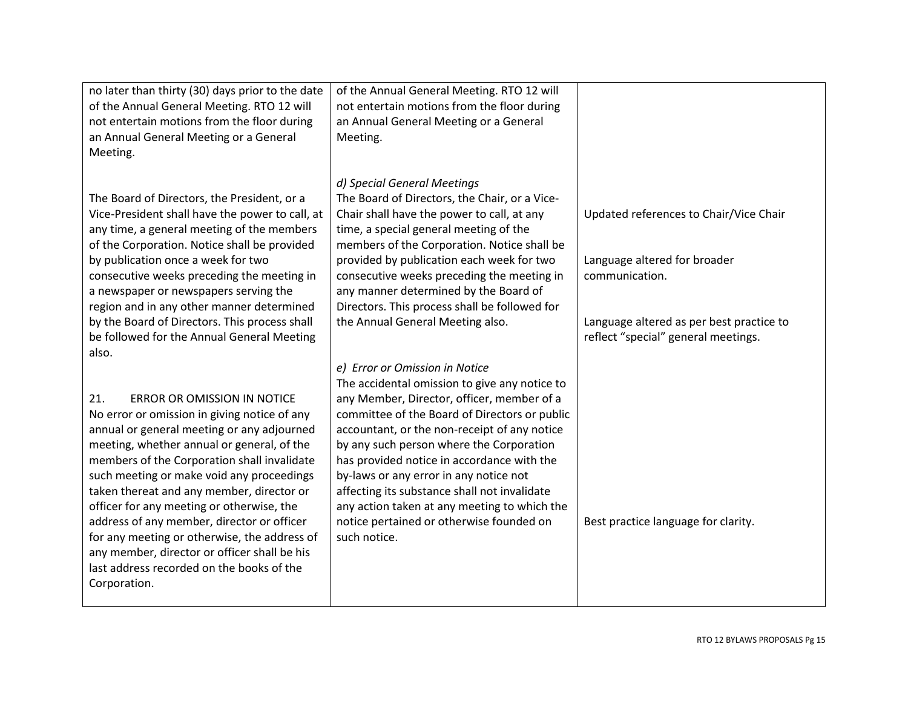| no later than thirty (30) days prior to the date<br>of the Annual General Meeting. RTO 12 will<br>not entertain motions from the floor during<br>an Annual General Meeting or a General<br>Meeting.                                                                                                                                                                                                                                                                                                                                                                                    | of the Annual General Meeting. RTO 12 will<br>not entertain motions from the floor during<br>an Annual General Meeting or a General<br>Meeting.                                                                                                                                                                                                                                                                                                                                              |                                                                                          |
|----------------------------------------------------------------------------------------------------------------------------------------------------------------------------------------------------------------------------------------------------------------------------------------------------------------------------------------------------------------------------------------------------------------------------------------------------------------------------------------------------------------------------------------------------------------------------------------|----------------------------------------------------------------------------------------------------------------------------------------------------------------------------------------------------------------------------------------------------------------------------------------------------------------------------------------------------------------------------------------------------------------------------------------------------------------------------------------------|------------------------------------------------------------------------------------------|
| The Board of Directors, the President, or a<br>Vice-President shall have the power to call, at<br>any time, a general meeting of the members<br>of the Corporation. Notice shall be provided<br>by publication once a week for two<br>consecutive weeks preceding the meeting in                                                                                                                                                                                                                                                                                                       | d) Special General Meetings<br>The Board of Directors, the Chair, or a Vice-<br>Chair shall have the power to call, at any<br>time, a special general meeting of the<br>members of the Corporation. Notice shall be<br>provided by publication each week for two<br>consecutive weeks preceding the meeting in                                                                                                                                                                               | Updated references to Chair/Vice Chair<br>Language altered for broader<br>communication. |
| a newspaper or newspapers serving the<br>region and in any other manner determined<br>by the Board of Directors. This process shall<br>be followed for the Annual General Meeting<br>also.                                                                                                                                                                                                                                                                                                                                                                                             | any manner determined by the Board of<br>Directors. This process shall be followed for<br>the Annual General Meeting also.<br>e) Error or Omission in Notice                                                                                                                                                                                                                                                                                                                                 | Language altered as per best practice to<br>reflect "special" general meetings.          |
| 21.<br><b>ERROR OR OMISSION IN NOTICE</b><br>No error or omission in giving notice of any<br>annual or general meeting or any adjourned<br>meeting, whether annual or general, of the<br>members of the Corporation shall invalidate<br>such meeting or make void any proceedings<br>taken thereat and any member, director or<br>officer for any meeting or otherwise, the<br>address of any member, director or officer<br>for any meeting or otherwise, the address of<br>any member, director or officer shall be his<br>last address recorded on the books of the<br>Corporation. | The accidental omission to give any notice to<br>any Member, Director, officer, member of a<br>committee of the Board of Directors or public<br>accountant, or the non-receipt of any notice<br>by any such person where the Corporation<br>has provided notice in accordance with the<br>by-laws or any error in any notice not<br>affecting its substance shall not invalidate<br>any action taken at any meeting to which the<br>notice pertained or otherwise founded on<br>such notice. | Best practice language for clarity.                                                      |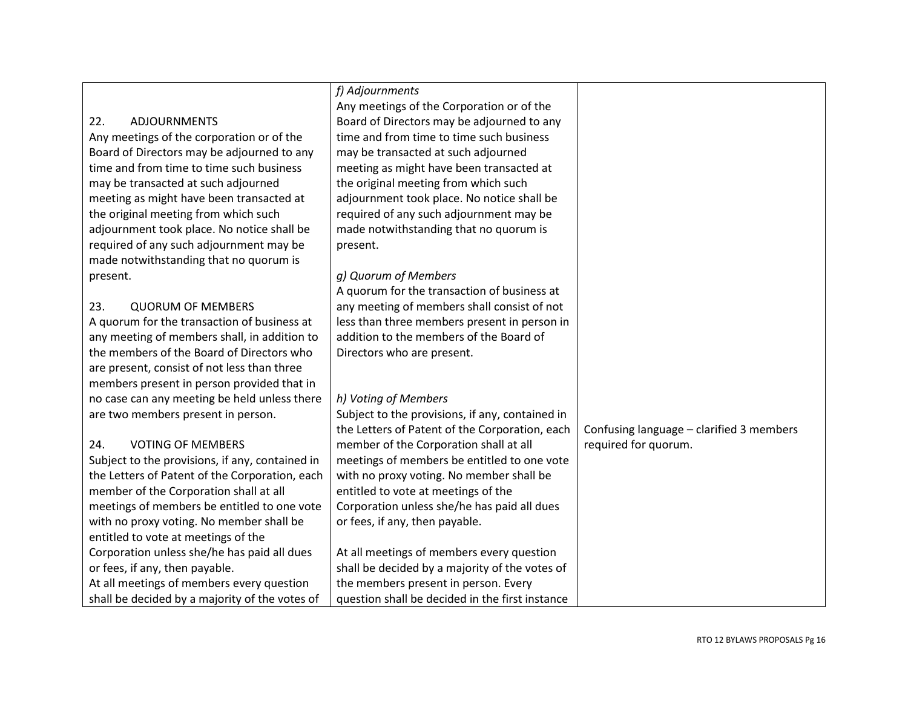|                                                 | f) Adjournments                                 |                                          |
|-------------------------------------------------|-------------------------------------------------|------------------------------------------|
|                                                 | Any meetings of the Corporation or of the       |                                          |
| 22.<br><b>ADJOURNMENTS</b>                      | Board of Directors may be adjourned to any      |                                          |
| Any meetings of the corporation or of the       | time and from time to time such business        |                                          |
| Board of Directors may be adjourned to any      | may be transacted at such adjourned             |                                          |
| time and from time to time such business        | meeting as might have been transacted at        |                                          |
| may be transacted at such adjourned             | the original meeting from which such            |                                          |
| meeting as might have been transacted at        | adjournment took place. No notice shall be      |                                          |
| the original meeting from which such            | required of any such adjournment may be         |                                          |
| adjournment took place. No notice shall be      | made notwithstanding that no quorum is          |                                          |
| required of any such adjournment may be         | present.                                        |                                          |
| made notwithstanding that no quorum is          |                                                 |                                          |
| present.                                        | g) Quorum of Members                            |                                          |
|                                                 | A quorum for the transaction of business at     |                                          |
| 23.<br><b>QUORUM OF MEMBERS</b>                 | any meeting of members shall consist of not     |                                          |
| A quorum for the transaction of business at     | less than three members present in person in    |                                          |
| any meeting of members shall, in addition to    | addition to the members of the Board of         |                                          |
| the members of the Board of Directors who       | Directors who are present.                      |                                          |
| are present, consist of not less than three     |                                                 |                                          |
| members present in person provided that in      |                                                 |                                          |
| no case can any meeting be held unless there    | h) Voting of Members                            |                                          |
| are two members present in person.              | Subject to the provisions, if any, contained in |                                          |
|                                                 | the Letters of Patent of the Corporation, each  | Confusing language - clarified 3 members |
| <b>VOTING OF MEMBERS</b><br>24.                 | member of the Corporation shall at all          | required for quorum.                     |
| Subject to the provisions, if any, contained in | meetings of members be entitled to one vote     |                                          |
| the Letters of Patent of the Corporation, each  | with no proxy voting. No member shall be        |                                          |
| member of the Corporation shall at all          | entitled to vote at meetings of the             |                                          |
| meetings of members be entitled to one vote     | Corporation unless she/he has paid all dues     |                                          |
| with no proxy voting. No member shall be        | or fees, if any, then payable.                  |                                          |
| entitled to vote at meetings of the             |                                                 |                                          |
| Corporation unless she/he has paid all dues     | At all meetings of members every question       |                                          |
| or fees, if any, then payable.                  | shall be decided by a majority of the votes of  |                                          |
| At all meetings of members every question       | the members present in person. Every            |                                          |
| shall be decided by a majority of the votes of  | question shall be decided in the first instance |                                          |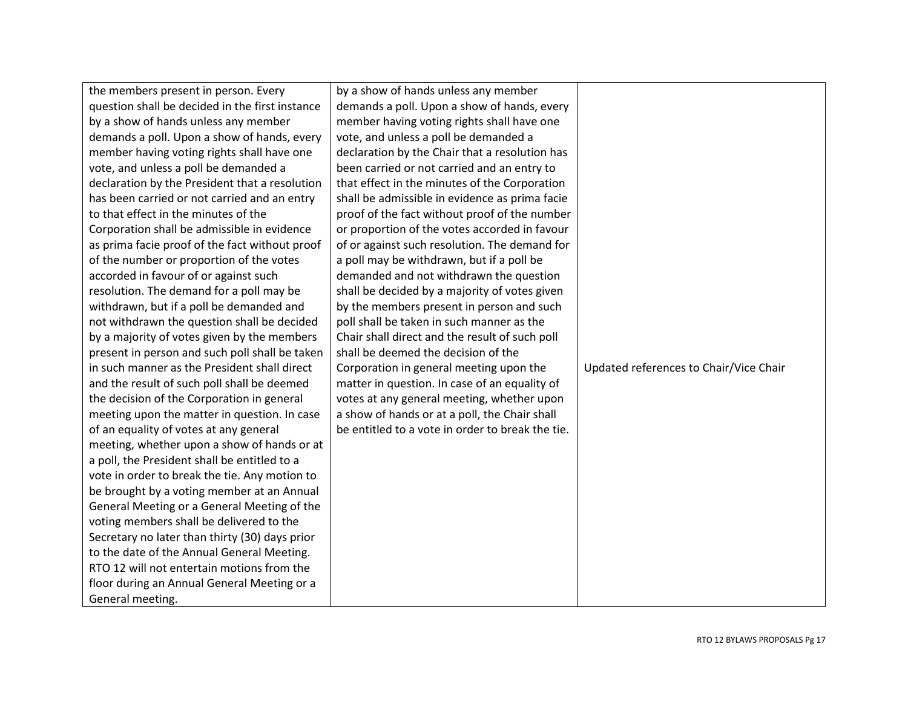| the members present in person. Every            | by a show of hands unless any member             |                                        |
|-------------------------------------------------|--------------------------------------------------|----------------------------------------|
| question shall be decided in the first instance | demands a poll. Upon a show of hands, every      |                                        |
| by a show of hands unless any member            | member having voting rights shall have one       |                                        |
| demands a poll. Upon a show of hands, every     | vote, and unless a poll be demanded a            |                                        |
| member having voting rights shall have one      | declaration by the Chair that a resolution has   |                                        |
| vote, and unless a poll be demanded a           | been carried or not carried and an entry to      |                                        |
| declaration by the President that a resolution  | that effect in the minutes of the Corporation    |                                        |
| has been carried or not carried and an entry    | shall be admissible in evidence as prima facie   |                                        |
| to that effect in the minutes of the            | proof of the fact without proof of the number    |                                        |
| Corporation shall be admissible in evidence     | or proportion of the votes accorded in favour    |                                        |
| as prima facie proof of the fact without proof  | of or against such resolution. The demand for    |                                        |
| of the number or proportion of the votes        | a poll may be withdrawn, but if a poll be        |                                        |
| accorded in favour of or against such           | demanded and not withdrawn the question          |                                        |
| resolution. The demand for a poll may be        | shall be decided by a majority of votes given    |                                        |
| withdrawn, but if a poll be demanded and        | by the members present in person and such        |                                        |
| not withdrawn the question shall be decided     | poll shall be taken in such manner as the        |                                        |
| by a majority of votes given by the members     | Chair shall direct and the result of such poll   |                                        |
| present in person and such poll shall be taken  | shall be deemed the decision of the              |                                        |
| in such manner as the President shall direct    | Corporation in general meeting upon the          | Updated references to Chair/Vice Chair |
| and the result of such poll shall be deemed     | matter in question. In case of an equality of    |                                        |
| the decision of the Corporation in general      | votes at any general meeting, whether upon       |                                        |
| meeting upon the matter in question. In case    | a show of hands or at a poll, the Chair shall    |                                        |
| of an equality of votes at any general          | be entitled to a vote in order to break the tie. |                                        |
| meeting, whether upon a show of hands or at     |                                                  |                                        |
| a poll, the President shall be entitled to a    |                                                  |                                        |
| vote in order to break the tie. Any motion to   |                                                  |                                        |
| be brought by a voting member at an Annual      |                                                  |                                        |
| General Meeting or a General Meeting of the     |                                                  |                                        |
| voting members shall be delivered to the        |                                                  |                                        |
| Secretary no later than thirty (30) days prior  |                                                  |                                        |
| to the date of the Annual General Meeting.      |                                                  |                                        |
| RTO 12 will not entertain motions from the      |                                                  |                                        |
| floor during an Annual General Meeting or a     |                                                  |                                        |
| General meeting.                                |                                                  |                                        |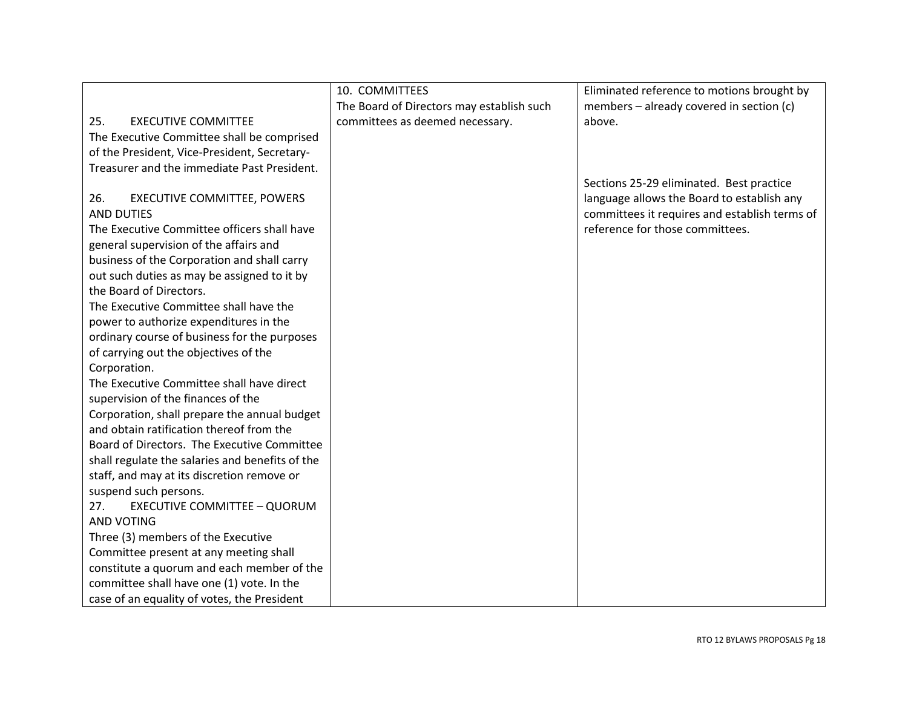|                                                 | 10. COMMITTEES                            | Eliminated reference to motions brought by    |
|-------------------------------------------------|-------------------------------------------|-----------------------------------------------|
|                                                 | The Board of Directors may establish such | members - already covered in section (c)      |
| 25.<br><b>EXECUTIVE COMMITTEE</b>               | committees as deemed necessary.           | above.                                        |
| The Executive Committee shall be comprised      |                                           |                                               |
| of the President, Vice-President, Secretary-    |                                           |                                               |
| Treasurer and the immediate Past President.     |                                           |                                               |
|                                                 |                                           | Sections 25-29 eliminated. Best practice      |
| <b>EXECUTIVE COMMITTEE, POWERS</b><br>26.       |                                           | language allows the Board to establish any    |
| <b>AND DUTIES</b>                               |                                           | committees it requires and establish terms of |
| The Executive Committee officers shall have     |                                           | reference for those committees.               |
| general supervision of the affairs and          |                                           |                                               |
| business of the Corporation and shall carry     |                                           |                                               |
| out such duties as may be assigned to it by     |                                           |                                               |
| the Board of Directors.                         |                                           |                                               |
| The Executive Committee shall have the          |                                           |                                               |
| power to authorize expenditures in the          |                                           |                                               |
| ordinary course of business for the purposes    |                                           |                                               |
| of carrying out the objectives of the           |                                           |                                               |
| Corporation.                                    |                                           |                                               |
| The Executive Committee shall have direct       |                                           |                                               |
| supervision of the finances of the              |                                           |                                               |
| Corporation, shall prepare the annual budget    |                                           |                                               |
| and obtain ratification thereof from the        |                                           |                                               |
| Board of Directors. The Executive Committee     |                                           |                                               |
| shall regulate the salaries and benefits of the |                                           |                                               |
| staff, and may at its discretion remove or      |                                           |                                               |
| suspend such persons.                           |                                           |                                               |
| 27.<br><b>EXECUTIVE COMMITTEE - QUORUM</b>      |                                           |                                               |
| <b>AND VOTING</b>                               |                                           |                                               |
| Three (3) members of the Executive              |                                           |                                               |
| Committee present at any meeting shall          |                                           |                                               |
| constitute a quorum and each member of the      |                                           |                                               |
| committee shall have one (1) vote. In the       |                                           |                                               |
| case of an equality of votes, the President     |                                           |                                               |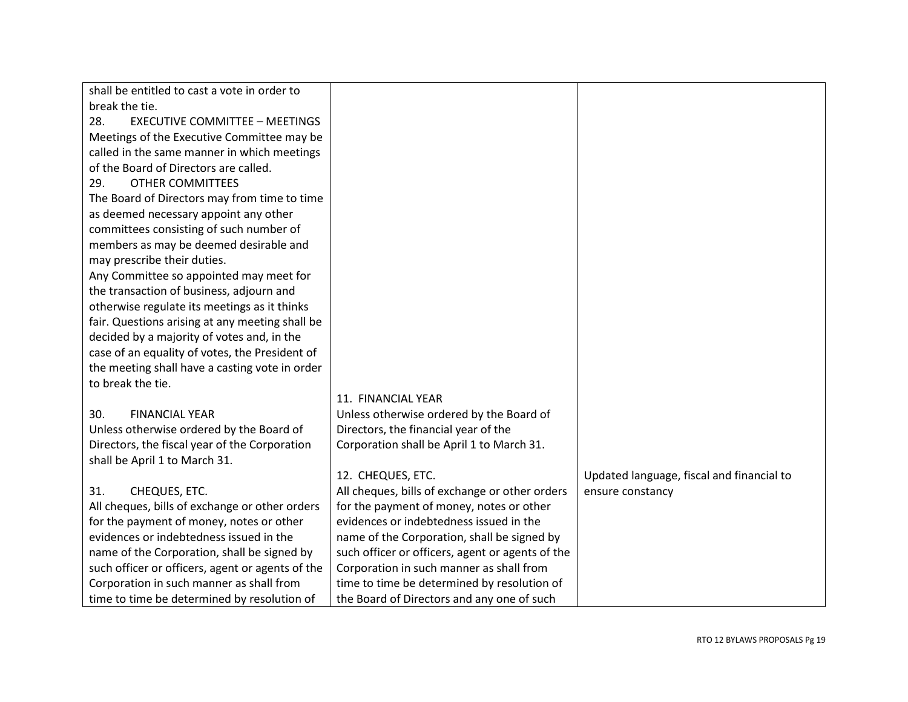| shall be entitled to cast a vote in order to     |                                                  |                                           |
|--------------------------------------------------|--------------------------------------------------|-------------------------------------------|
| break the tie.                                   |                                                  |                                           |
| 28.<br><b>EXECUTIVE COMMITTEE - MEETINGS</b>     |                                                  |                                           |
| Meetings of the Executive Committee may be       |                                                  |                                           |
| called in the same manner in which meetings      |                                                  |                                           |
| of the Board of Directors are called.            |                                                  |                                           |
| <b>OTHER COMMITTEES</b><br>29.                   |                                                  |                                           |
| The Board of Directors may from time to time     |                                                  |                                           |
| as deemed necessary appoint any other            |                                                  |                                           |
| committees consisting of such number of          |                                                  |                                           |
| members as may be deemed desirable and           |                                                  |                                           |
| may prescribe their duties.                      |                                                  |                                           |
| Any Committee so appointed may meet for          |                                                  |                                           |
| the transaction of business, adjourn and         |                                                  |                                           |
| otherwise regulate its meetings as it thinks     |                                                  |                                           |
| fair. Questions arising at any meeting shall be  |                                                  |                                           |
| decided by a majority of votes and, in the       |                                                  |                                           |
| case of an equality of votes, the President of   |                                                  |                                           |
| the meeting shall have a casting vote in order   |                                                  |                                           |
| to break the tie.                                |                                                  |                                           |
|                                                  | 11. FINANCIAL YEAR                               |                                           |
| <b>FINANCIAL YEAR</b><br>30.                     | Unless otherwise ordered by the Board of         |                                           |
| Unless otherwise ordered by the Board of         | Directors, the financial year of the             |                                           |
| Directors, the fiscal year of the Corporation    | Corporation shall be April 1 to March 31.        |                                           |
| shall be April 1 to March 31.                    |                                                  |                                           |
|                                                  | 12. CHEQUES, ETC.                                | Updated language, fiscal and financial to |
| 31.<br>CHEQUES, ETC.                             | All cheques, bills of exchange or other orders   | ensure constancy                          |
| All cheques, bills of exchange or other orders   | for the payment of money, notes or other         |                                           |
| for the payment of money, notes or other         | evidences or indebtedness issued in the          |                                           |
| evidences or indebtedness issued in the          | name of the Corporation, shall be signed by      |                                           |
| name of the Corporation, shall be signed by      | such officer or officers, agent or agents of the |                                           |
| such officer or officers, agent or agents of the | Corporation in such manner as shall from         |                                           |
| Corporation in such manner as shall from         | time to time be determined by resolution of      |                                           |
| time to time be determined by resolution of      | the Board of Directors and any one of such       |                                           |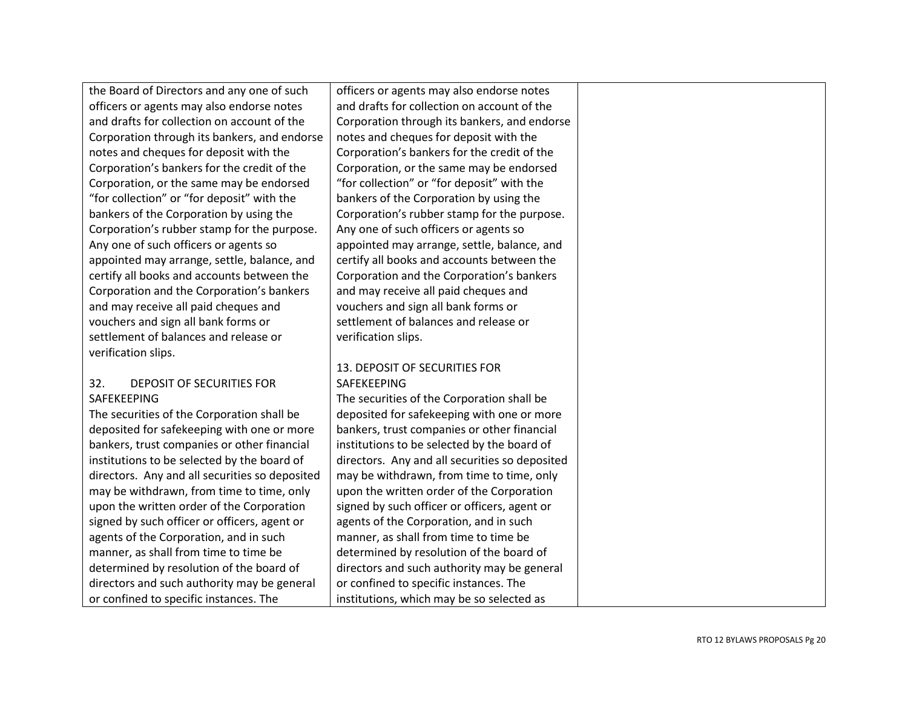the Board of Directors and any one of such officers or agents may also endorse notes and drafts for collection on account of the Corporation through its bankers, and endorse notes and cheques for deposit with the Corporation's bankers for the credit of the Corporation, or the same may be endorsed "for collection" or "for deposit" with the bankers of the Corporation by using the Corporation's rubber stamp for the purpose. Any one of such officers or agents so appointed may arrange, settle, balance, and certify all books and accounts between the Corporation and the Corporation's bankers and may receive all paid cheques and vouchers and sign all bank forms or settlement of balances and release or verification slips.

#### 32. DEPOSIT OF SECURITIES FOR SAFEKEEPING

The securities of the Corporation shall be deposited for safekeeping with one or more bankers, trust companies or other financial institutions to be selected by the board of directors. Any and all securities so deposited may be withdrawn, from time to time, only upon the written order of the Corporation signed by such officer or officers, agent or agents of the Corporation, and in such manner, as shall from time to time be determined by resolution of the board of directors and such authority may be general or confined to specific instances. The

officers or agents may also endorse notes and drafts for collection on account of the Corporation through its bankers, and endorse notes and cheques for deposit with the Corporation's bankers for the credit of the Corporation, or the same may be endorsed "for collection" or "for deposit" with the bankers of the Corporation by using the Corporation's rubber stamp for the purpose. Any one of such officers or agents so appointed may arrange, settle, balance, and certify all books and accounts between the Corporation and the Corporation's bankers and may receive all paid cheques and vouchers and sign all bank forms or settlement of balances and release or verification slips.

#### 13. DEPOSIT OF SECURITIES FOR SAFEKEEPING

The securities of the Corporation shall be deposited for safekeeping with one or more bankers, trust companies or other financial institutions to be selected by the board of directors. Any and all securities so deposited may be withdrawn, from time to time, only upon the written order of the Corporation signed by such officer or officers, agent or agents of the Corporation, and in such manner, as shall from time to time be determined by resolution of the board of directors and such authority may be general or confined to specific instances. The institutions, which may be so selected as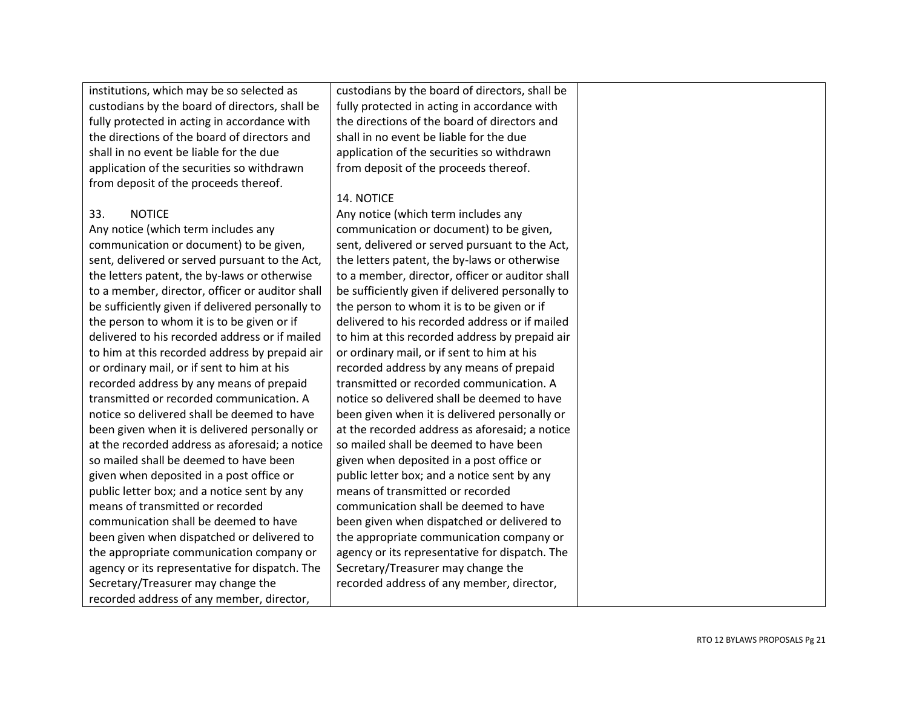institutions, which may be so selected as custodians by the board of directors, shall be fully protected in acting in accordance with the directions of the board of directors and shall in no event be liable for the due application of the securities so withdrawn from deposit of the proceeds thereof.

# 33. NOTICE

Any notice (which term includes any communication or document) to be given, sent, delivered or served pursuant to the Act, the letters patent, the by-laws or otherwise to a member, director, officer or auditor shall be sufficiently given if delivered personally to the person to whom it is to be given or if delivered to his recorded address or if mailed to him at this recorded address by prepaid air or ordinary mail, or if sent to him at his recorded address by any means of prepaid transmitted or recorded communication. A notice so delivered shall be deemed to have been given when it is delivered personally or at the recorded address as aforesaid; a notice so mailed shall be deemed to have been given when deposited in a post office or public letter box; and a notice sent by any means of transmitted or recorded communication shall be deemed to have been given when dispatched or delivered to the appropriate communication company or agency or its representative for dispatch. The Secretary/Treasurer may change the recorded address of any member, director,

custodians by the board of directors, shall be fully protected in acting in accordance with the directions of the board of directors and shall in no event be liable for the due application of the securities so withdrawn from deposit of the proceeds thereof.

## 14. NOTICE

Any notice (which term includes any communication or document) to be given, sent, delivered or served pursuant to the Act, the letters patent, the by-laws or otherwise to a member, director, officer or auditor shall be sufficiently given if delivered personally to the person to whom it is to be given or if delivered to his recorded address or if mailed to him at this recorded address by prepaid air or ordinary mail, or if sent to him at his recorded address by any means of prepaid transmitted or recorded communication. A notice so delivered shall be deemed to have been given when it is delivered personally or at the recorded address as aforesaid; a notice so mailed shall be deemed to have been given when deposited in a post office or public letter box; and a notice sent by any means of transmitted or recorded communication shall be deemed to have been given when dispatched or delivered to the appropriate communication company or agency or its representative for dispatch. The Secretary/Treasurer may change the recorded address of any member, director,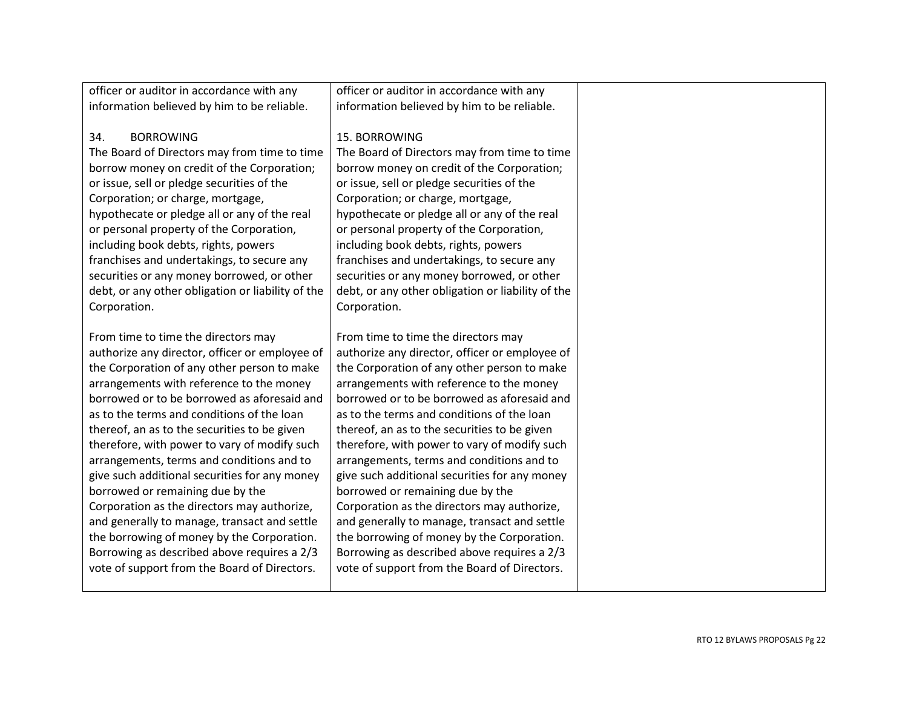| officer or auditor in accordance with any                                                   | officer or auditor in accordance with any                                                   |  |
|---------------------------------------------------------------------------------------------|---------------------------------------------------------------------------------------------|--|
| information believed by him to be reliable.                                                 | information believed by him to be reliable.                                                 |  |
|                                                                                             |                                                                                             |  |
| 34.<br><b>BORROWING</b>                                                                     | 15. BORROWING                                                                               |  |
| The Board of Directors may from time to time                                                | The Board of Directors may from time to time                                                |  |
| borrow money on credit of the Corporation;                                                  | borrow money on credit of the Corporation;                                                  |  |
| or issue, sell or pledge securities of the                                                  | or issue, sell or pledge securities of the                                                  |  |
| Corporation; or charge, mortgage,                                                           | Corporation; or charge, mortgage,                                                           |  |
| hypothecate or pledge all or any of the real                                                | hypothecate or pledge all or any of the real                                                |  |
| or personal property of the Corporation,                                                    | or personal property of the Corporation,                                                    |  |
| including book debts, rights, powers                                                        | including book debts, rights, powers                                                        |  |
| franchises and undertakings, to secure any                                                  | franchises and undertakings, to secure any                                                  |  |
| securities or any money borrowed, or other                                                  | securities or any money borrowed, or other                                                  |  |
| debt, or any other obligation or liability of the                                           | debt, or any other obligation or liability of the                                           |  |
| Corporation.                                                                                | Corporation.                                                                                |  |
|                                                                                             |                                                                                             |  |
| From time to time the directors may                                                         | From time to time the directors may                                                         |  |
| authorize any director, officer or employee of                                              | authorize any director, officer or employee of                                              |  |
| the Corporation of any other person to make                                                 | the Corporation of any other person to make                                                 |  |
| arrangements with reference to the money                                                    | arrangements with reference to the money                                                    |  |
| borrowed or to be borrowed as aforesaid and                                                 | borrowed or to be borrowed as aforesaid and                                                 |  |
| as to the terms and conditions of the loan                                                  | as to the terms and conditions of the loan                                                  |  |
| thereof, an as to the securities to be given                                                | thereof, an as to the securities to be given                                                |  |
| therefore, with power to vary of modify such                                                | therefore, with power to vary of modify such                                                |  |
| arrangements, terms and conditions and to                                                   | arrangements, terms and conditions and to                                                   |  |
| give such additional securities for any money                                               | give such additional securities for any money                                               |  |
| borrowed or remaining due by the                                                            | borrowed or remaining due by the                                                            |  |
| Corporation as the directors may authorize,<br>and generally to manage, transact and settle | Corporation as the directors may authorize,<br>and generally to manage, transact and settle |  |
| the borrowing of money by the Corporation.                                                  | the borrowing of money by the Corporation.                                                  |  |
| Borrowing as described above requires a 2/3                                                 | Borrowing as described above requires a 2/3                                                 |  |
| vote of support from the Board of Directors.                                                | vote of support from the Board of Directors.                                                |  |
|                                                                                             |                                                                                             |  |